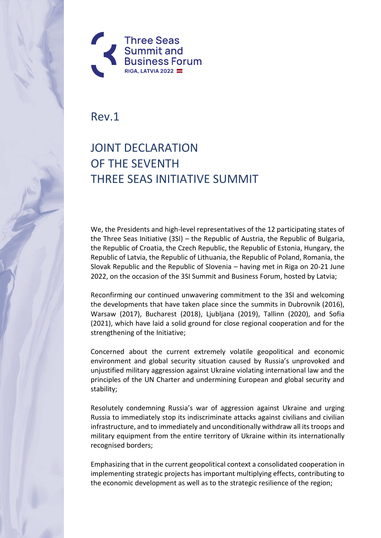

Rev.1

## JOINT DECLARATION OF THE SEVENTH THREE SEAS INITIATIVE SUMMIT

We, the Presidents and high-level representatives of the 12 participating states of the Three Seas Initiative (3SI) – the Republic of Austria, the Republic of Bulgaria, the Republic of Croatia, the Czech Republic, the Republic of Estonia, Hungary, the Republic of Latvia, the Republic of Lithuania, the Republic of Poland, Romania, the Slovak Republic and the Republic of Slovenia – having met in Riga on 20-21 June 2022, on the occasion of the 3SI Summit and Business Forum, hosted by Latvia;

Reconfirming our continued unwavering commitment to the 3SI and welcoming the developments that have taken place since the summits in Dubrovnik (2016), Warsaw (2017), Bucharest (2018), Ljubljana (2019), Tallinn (2020), and Sofia (2021), which have laid a solid ground for close regional cooperation and for the strengthening of the Initiative;

Concerned about the current extremely volatile geopolitical and economic environment and global security situation caused by Russia's unprovoked and unjustified military aggression against Ukraine violating international law and the principles of the UN Charter and undermining European and global security and stability;

Resolutely condemning Russia's war of aggression against Ukraine and urging Russia to immediately stop its indiscriminate attacks against civilians and civilian infrastructure, and to immediately and unconditionally withdraw all its troops and military equipment from the entire territory of Ukraine within its internationally recognised borders;

Emphasizing that in the current geopolitical context a consolidated cooperation in implementing strategic projects has important multiplying effects, contributing to the economic development as well as to the strategic resilience of the region;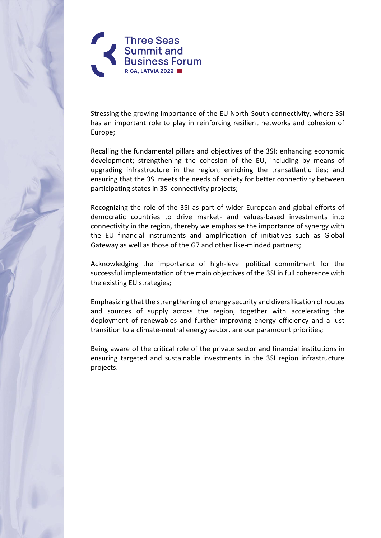

Stressing the growing importance of the EU North-South connectivity, where 3SI has an important role to play in reinforcing resilient networks and cohesion of Europe;

Recalling the fundamental pillars and objectives of the 3SI: enhancing economic development; strengthening the cohesion of the EU, including by means of upgrading infrastructure in the region; enriching the transatlantic ties; and ensuring that the 3SI meets the needs of society for better connectivity between participating states in 3SI connectivity projects;

Recognizing the role of the 3SI as part of wider European and global efforts of democratic countries to drive market- and values-based investments into connectivity in the region, thereby we emphasise the importance of synergy with the EU financial instruments and amplification of initiatives such as Global Gateway as well as those of the G7 and other like-minded partners;

Acknowledging the importance of high-level political commitment for the successful implementation of the main objectives of the 3SI in full coherence with the existing EU strategies;

Emphasizing that the strengthening of energy security and diversification of routes and sources of supply across the region, together with accelerating the deployment of renewables and further improving energy efficiency and a just transition to a climate-neutral energy sector, are our paramount priorities;

Being aware of the critical role of the private sector and financial institutions in ensuring targeted and sustainable investments in the 3SI region infrastructure projects.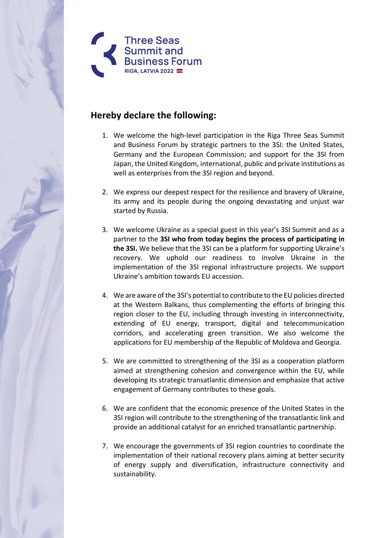

## **Hereby declare the following:**

- 1. We welcome the high-level participation in the Riga Three Seas Summit and Business Forum by strategic partners to the 3SI: the United States, Germany and the European Commission; and support for the 3SI from Japan, the United Kingdom, international, public and private institutions as well as enterprises from the 3SI region and beyond.
- 2. We express our deepest respect for the resilience and bravery of Ukraine, its army and its people during the ongoing devastating and unjust war started by Russia.
- 3. We welcome Ukraine as a special guest in this year's 3SI Summit and as a partner to the **3SI who from today begins the process of participating in the 3SI.** We believe that the 3SI can be a platform for supporting Ukraine's recovery. We uphold our readiness to involve Ukraine in the implementation of the 3SI regional infrastructure projects. We support Ukraine's ambition towards EU accession.
- 4. We are aware of the 3SI's potential to contribute to the EU policies directed at the Western Balkans, thus complementing the efforts of bringing this region closer to the EU, including through investing in interconnectivity, extending of EU energy, transport, digital and telecommunication corridors, and accelerating green transition. We also welcome the applications for EU membership of the Republic of Moldova and Georgia.
- 5. We are committed to strengthening of the 3SI as a cooperation platform aimed at strengthening cohesion and convergence within the EU, while developing its strategic transatlantic dimension and emphasize that active engagement of Germany contributes to these goals.
- 6. We are confident that the economic presence of the United States in the 3SI region will contribute to the strengthening of the transatlantic link and provide an additional catalyst for an enriched transatlantic partnership.
- 7. We encourage the governments of 3SI region countries to coordinate the implementation of their national recovery plans aiming at better security of energy supply and diversification, infrastructure connectivity and sustainability.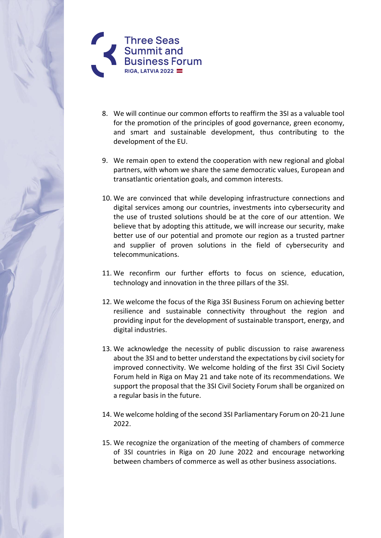

- 8. We will continue our common efforts to reaffirm the 3SI as a valuable tool for the promotion of the principles of good governance, green economy, and smart and sustainable development, thus contributing to the development of the EU.
- 9. We remain open to extend the cooperation with new regional and global partners, with whom we share the same democratic values, European and transatlantic orientation goals, and common interests.
- 10. We are convinced that while developing infrastructure connections and digital services among our countries, investments into cybersecurity and the use of trusted solutions should be at the core of our attention. We believe that by adopting this attitude, we will increase our security, make better use of our potential and promote our region as a trusted partner and supplier of proven solutions in the field of cybersecurity and telecommunications.
- 11. We reconfirm our further efforts to focus on science, education, technology and innovation in the three pillars of the 3SI.
- 12. We welcome the focus of the Riga 3SI Business Forum on achieving better resilience and sustainable connectivity throughout the region and providing input for the development of sustainable transport, energy, and digital industries.
- 13. We acknowledge the necessity of public discussion to raise awareness about the 3SI and to better understand the expectations by civil society for improved connectivity. We welcome holding of the first 3SI Civil Society Forum held in Riga on May 21 and take note of its recommendations. We support the proposal that the 3SI Civil Society Forum shall be organized on a regular basis in the future.
- 14. We welcome holding of the second 3SI Parliamentary Forum on 20-21 June 2022.
- 15. We recognize the organization of the meeting of chambers of commerce of 3SI countries in Riga on 20 June 2022 and encourage networking between chambers of commerce as well as other business associations.